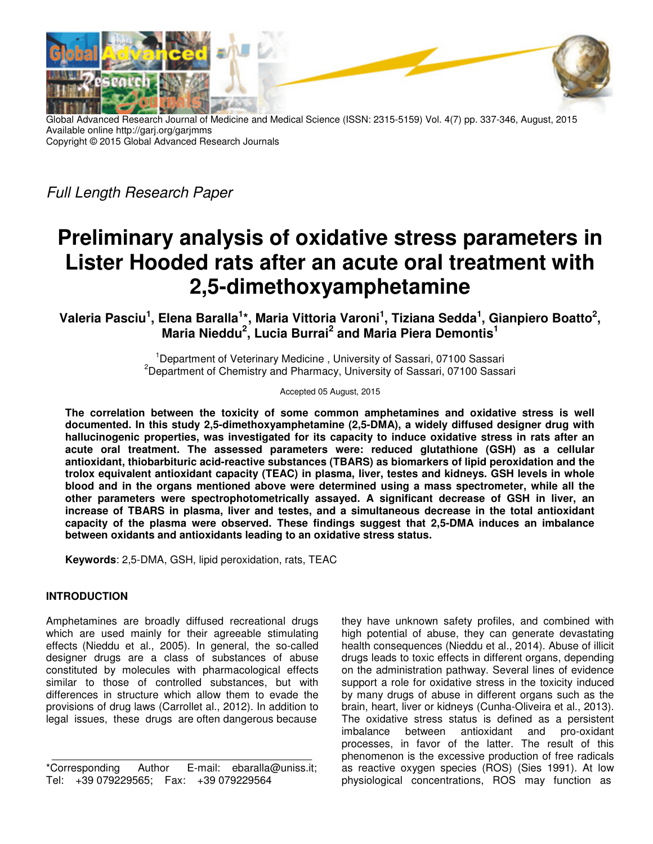

Global Advanced Research Journal of Medicine and Medical Science (ISSN: 2315-5159) Vol. 4(7) pp. 337-346, August, 2015 Available online http://garj.org/garjmms Copyright © 2015 Global Advanced Research Journals

Full Length Research Paper

# **Preliminary analysis of oxidative stress parameters in Lister Hooded rats after an acute oral treatment with 2,5-dimethoxyamphetamine**

**Valeria Pasciu<sup>1</sup> , Elena Baralla<sup>1</sup> \*, Maria Vittoria Varoni<sup>1</sup> , Tiziana Sedda<sup>1</sup> , Gianpiero Boatto<sup>2</sup> , Maria Nieddu<sup>2</sup> , Lucia Burrai<sup>2</sup> and Maria Piera Demontis<sup>1</sup>**

> <sup>1</sup>Department of Veterinary Medicine, University of Sassari, 07100 Sassari <sup>2</sup>Department of Chemistry and Pharmacy, University of Sassari, 07100 Sassari

> > Accepted 05 August, 2015

**The correlation between the toxicity of some common amphetamines and oxidative stress is well documented. In this study 2,5-dimethoxyamphetamine (2,5-DMA), a widely diffused designer drug with hallucinogenic properties, was investigated for its capacity to induce oxidative stress in rats after an acute oral treatment. The assessed parameters were: reduced glutathione (GSH) as a cellular antioxidant, thiobarbituric acid-reactive substances (TBARS) as biomarkers of lipid peroxidation and the trolox equivalent antioxidant capacity (TEAC) in plasma, liver, testes and kidneys. GSH levels in whole blood and in the organs mentioned above were determined using a mass spectrometer, while all the other parameters were spectrophotometrically assayed. A significant decrease of GSH in liver, an increase of TBARS in plasma, liver and testes, and a simultaneous decrease in the total antioxidant capacity of the plasma were observed. These findings suggest that 2,5-DMA induces an imbalance between oxidants and antioxidants leading to an oxidative stress status.** 

**Keywords**: 2,5-DMA, GSH, lipid peroxidation, rats, TEAC

## **INTRODUCTION**

Amphetamines are broadly diffused recreational drugs which are used mainly for their agreeable stimulating effects (Nieddu et al., 2005). In general, the so-called designer drugs are a class of substances of abuse constituted by molecules with pharmacological effects similar to those of controlled substances, but with differences in structure which allow them to evade the provisions of drug laws (Carrollet al., 2012). In addition to legal issues, these drugs are often dangerous because

\*Corresponding Author E-mail: ebaralla@uniss.it; Tel: +39 079229565; Fax: +39 079229564

they have unknown safety profiles, and combined with high potential of abuse, they can generate devastating health consequences (Nieddu et al., 2014). Abuse of illicit drugs leads to toxic effects in different organs, depending on the administration pathway. Several lines of evidence support a role for oxidative stress in the toxicity induced by many drugs of abuse in different organs such as the brain, heart, liver or kidneys (Cunha-Oliveira et al., 2013). The oxidative stress status is defined as a persistent imbalance between antioxidant and pro-oxidant processes, in favor of the latter. The result of this phenomenon is the excessive production of free radicals as reactive oxygen species (ROS) (Sies 1991). At low physiological concentrations, ROS may function as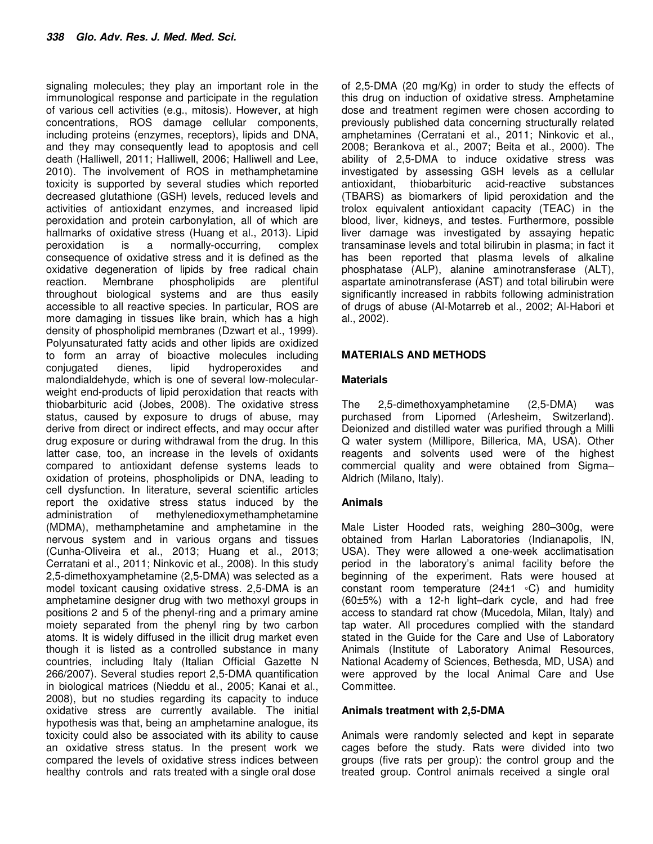signaling molecules; they play an important role in the immunological response and participate in the regulation of various cell activities (e.g., mitosis). However, at high concentrations, ROS damage cellular components, including proteins (enzymes, receptors), lipids and DNA, and they may consequently lead to apoptosis and cell death (Halliwell, 2011; Halliwell, 2006; Halliwell and Lee, 2010). The involvement of ROS in methamphetamine toxicity is supported by several studies which reported decreased glutathione (GSH) levels, reduced levels and activities of antioxidant enzymes, and increased lipid peroxidation and protein carbonylation, all of which are hallmarks of oxidative stress (Huang et al., 2013). Lipid peroxidation is a normally-occurring, complex consequence of oxidative stress and it is defined as the oxidative degeneration of lipids by free radical chain reaction. Membrane phospholipids are plentiful throughout biological systems and are thus easily accessible to all reactive species. In particular, ROS are more damaging in tissues like brain, which has a high density of phospholipid membranes (Dzwart et al., 1999). Polyunsaturated fatty acids and other lipids are oxidized to form an array of bioactive molecules including conjugated dienes, lipid hydroperoxides and malondialdehyde, which is one of several low-molecularweight end-products of lipid peroxidation that reacts with thiobarbituric acid (Jobes, 2008). The oxidative stress status, caused by exposure to drugs of abuse, may derive from direct or indirect effects, and may occur after drug exposure or during withdrawal from the drug. In this latter case, too, an increase in the levels of oxidants compared to antioxidant defense systems leads to oxidation of proteins, phospholipids or DNA, leading to cell dysfunction. In literature, several scientific articles report the oxidative stress status induced by the administration of methylenedioxymethamphetamine (MDMA), methamphetamine and amphetamine in the nervous system and in various organs and tissues (Cunha-Oliveira et al., 2013; Huang et al., 2013; Cerratani et al., 2011; Ninkovic et al., 2008). In this study 2,5-dimethoxyamphetamine (2,5-DMA) was selected as a model toxicant causing oxidative stress. 2,5-DMA is an amphetamine designer drug with two methoxyl groups in positions 2 and 5 of the phenyl-ring and a primary amine moiety separated from the phenyl ring by two carbon atoms. It is widely diffused in the illicit drug market even though it is listed as a controlled substance in many countries, including Italy (Italian Official Gazette N 266/2007). Several studies report 2,5-DMA quantification in biological matrices (Nieddu et al., 2005; Kanai et al., 2008), but no studies regarding its capacity to induce oxidative stress are currently available. The initial hypothesis was that, being an amphetamine analogue, its toxicity could also be associated with its ability to cause an oxidative stress status. In the present work we compared the levels of oxidative stress indices between healthy controls and rats treated with a single oral dose

of 2,5-DMA (20 mg/Kg) in order to study the effects of this drug on induction of oxidative stress. Amphetamine dose and treatment regimen were chosen according to previously published data concerning structurally related amphetamines (Cerratani et al., 2011; Ninkovic et al., 2008; Berankova et al., 2007; Beita et al., 2000). The ability of 2,5-DMA to induce oxidative stress was investigated by assessing GSH levels as a cellular antioxidant, thiobarbituric acid-reactive substances (TBARS) as biomarkers of lipid peroxidation and the trolox equivalent antioxidant capacity (TEAC) in the blood, liver, kidneys, and testes. Furthermore, possible liver damage was investigated by assaying hepatic transaminase levels and total bilirubin in plasma; in fact it has been reported that plasma levels of alkaline phosphatase (ALP), alanine aminotransferase (ALT), aspartate aminotransferase (AST) and total bilirubin were significantly increased in rabbits following administration of drugs of abuse (Al-Motarreb et al., 2002; Al-Habori et al., 2002).

## **MATERIALS AND METHODS**

### **Materials**

The 2,5-dimethoxyamphetamine (2,5-DMA) was purchased from Lipomed (Arlesheim, Switzerland). Deionized and distilled water was purified through a Milli Q water system (Millipore, Billerica, MA, USA). Other reagents and solvents used were of the highest commercial quality and were obtained from Sigma– Aldrich (Milano, Italy).

## **Animals**

Male Lister Hooded rats, weighing 280–300g, were obtained from Harlan Laboratories (Indianapolis, IN, USA). They were allowed a one-week acclimatisation period in the laboratory's animal facility before the beginning of the experiment. Rats were housed at constant room temperature (24±1 ◦C) and humidity (60±5%) with a 12-h light–dark cycle, and had free access to standard rat chow (Mucedola, Milan, Italy) and tap water. All procedures complied with the standard stated in the Guide for the Care and Use of Laboratory Animals (Institute of Laboratory Animal Resources, National Academy of Sciences, Bethesda, MD, USA) and were approved by the local Animal Care and Use Committee.

#### **Animals treatment with 2,5-DMA**

Animals were randomly selected and kept in separate cages before the study. Rats were divided into two groups (five rats per group): the control group and the treated group. Control animals received a single oral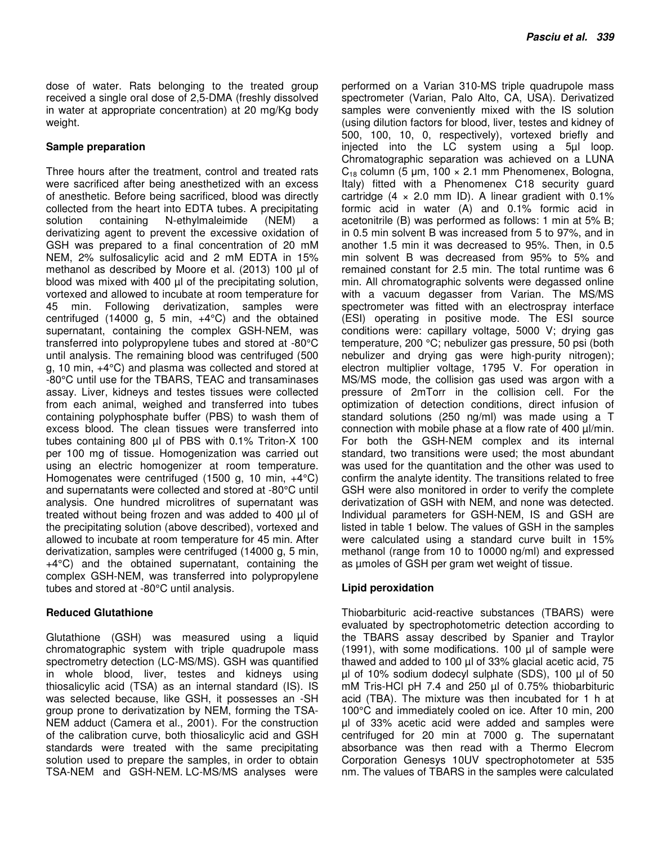dose of water. Rats belonging to the treated group received a single oral dose of 2,5-DMA (freshly dissolved in water at appropriate concentration) at 20 mg/Kg body weight.

## **Sample preparation**

Three hours after the treatment, control and treated rats were sacrificed after being anesthetized with an excess of anesthetic. Before being sacrificed, blood was directly collected from the heart into EDTA tubes. A precipitating solution containing N-ethylmaleimide (NEM) a derivatizing agent to prevent the excessive oxidation of GSH was prepared to a final concentration of 20 mM NEM, 2% sulfosalicylic acid and 2 mM EDTA in 15% methanol as described by Moore et al. (2013) 100 µl of blood was mixed with 400 µl of the precipitating solution, vortexed and allowed to incubate at room temperature for 45 min. Following derivatization, samples were centrifuged (14000 g, 5 min,  $+4^{\circ}$ C) and the obtained supernatant, containing the complex GSH-NEM, was transferred into polypropylene tubes and stored at -80°C until analysis. The remaining blood was centrifuged (500 g, 10 min, +4°C) and plasma was collected and stored at -80°C until use for the TBARS, TEAC and transaminases assay. Liver, kidneys and testes tissues were collected from each animal, weighed and transferred into tubes containing polyphosphate buffer (PBS) to wash them of excess blood. The clean tissues were transferred into tubes containing 800 µl of PBS with 0.1% Triton-X 100 per 100 mg of tissue. Homogenization was carried out using an electric homogenizer at room temperature. Homogenates were centrifuged (1500 g, 10 min, +4°C) and supernatants were collected and stored at -80°C until analysis. One hundred microlitres of supernatant was treated without being frozen and was added to 400 µl of the precipitating solution (above described), vortexed and allowed to incubate at room temperature for 45 min. After derivatization, samples were centrifuged (14000 g, 5 min, +4°C) and the obtained supernatant, containing the complex GSH-NEM, was transferred into polypropylene tubes and stored at -80°C until analysis.

## **Reduced Glutathione**

Glutathione (GSH) was measured using a liquid chromatographic system with triple quadrupole mass spectrometry detection (LC-MS/MS). GSH was quantified in whole blood, liver, testes and kidneys using thiosalicylic acid (TSA) as an internal standard (IS). IS was selected because, like GSH, it possesses an -SH group prone to derivatization by NEM, forming the TSA-NEM adduct (Camera et al., 2001). For the construction of the calibration curve, both thiosalicylic acid and GSH standards were treated with the same precipitating solution used to prepare the samples, in order to obtain TSA-NEM and GSH-NEM. LC-MS/MS analyses were

performed on a Varian 310-MS triple quadrupole mass spectrometer (Varian, Palo Alto, CA, USA). Derivatized samples were conveniently mixed with the IS solution (using dilution factors for blood, liver, testes and kidney of 500, 100, 10, 0, respectively), vortexed briefly and injected into the LC system using a 5µl loop. Chromatographic separation was achieved on a LUNA  $C_{18}$  column (5 µm, 100  $\times$  2.1 mm Phenomenex, Bologna, Italy) fitted with a Phenomenex C18 security guard cartridge  $(4 \times 2.0 \text{ mm} \text{ ID})$ . A linear gradient with 0.1% formic acid in water (A) and 0.1% formic acid in acetonitrile (B) was performed as follows: 1 min at 5% B; in 0.5 min solvent B was increased from 5 to 97%, and in another 1.5 min it was decreased to 95%. Then, in 0.5 min solvent B was decreased from 95% to 5% and remained constant for 2.5 min. The total runtime was 6 min. All chromatographic solvents were degassed online with a vacuum degasser from Varian. The MS/MS spectrometer was fitted with an electrospray interface (ESI) operating in positive mode. The ESI source conditions were: capillary voltage, 5000 V; drying gas temperature, 200 °C; nebulizer gas pressure, 50 psi (both nebulizer and drying gas were high-purity nitrogen); electron multiplier voltage, 1795 V. For operation in MS/MS mode, the collision gas used was argon with a pressure of 2mTorr in the collision cell. For the optimization of detection conditions, direct infusion of standard solutions (250 ng/ml) was made using a T connection with mobile phase at a flow rate of 400 µl/min. For both the GSH-NEM complex and its internal standard, two transitions were used; the most abundant was used for the quantitation and the other was used to confirm the analyte identity. The transitions related to free GSH were also monitored in order to verify the complete derivatization of GSH with NEM, and none was detected. Individual parameters for GSH-NEM, IS and GSH are listed in table 1 below. The values of GSH in the samples were calculated using a standard curve built in 15% methanol (range from 10 to 10000 ng/ml) and expressed as µmoles of GSH per gram wet weight of tissue.

## **Lipid peroxidation**

Thiobarbituric acid-reactive substances (TBARS) were evaluated by spectrophotometric detection according to the TBARS assay described by Spanier and Traylor (1991), with some modifications. 100 µl of sample were thawed and added to 100 µl of 33% glacial acetic acid, 75 µl of 10% sodium dodecyl sulphate (SDS), 100 µl of 50 mM Tris-HCl pH 7.4 and 250 µl of 0.75% thiobarbituric acid (TBA). The mixture was then incubated for 1 h at 100°C and immediately cooled on ice. After 10 min, 200 µl of 33% acetic acid were added and samples were centrifuged for 20 min at 7000 g. The supernatant absorbance was then read with a Thermo Elecrom Corporation Genesys 10UV spectrophotometer at 535 nm. The values of TBARS in the samples were calculated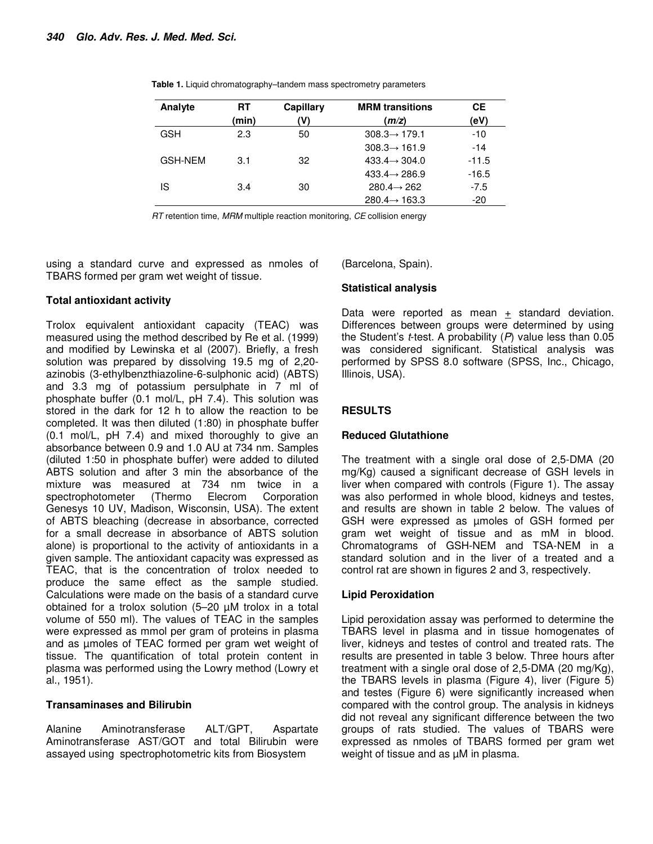| RT    | Capillary | <b>MRM</b> transitions    | CЕ      |
|-------|-----------|---------------------------|---------|
| (min) | 'V)       | (m/z)                     | (eV)    |
| 2.3   | 50        | $308.3 \rightarrow 179.1$ | -10     |
|       |           | $308.3 \rightarrow 161.9$ | $-14$   |
| 3.1   | 32        | $433.4 \rightarrow 304.0$ | $-11.5$ |
|       |           | $433.4 \rightarrow 286.9$ | $-16.5$ |
| 3.4   | 30        | $280.4 \rightarrow 262$   | -7.5    |
|       |           | $280.4 \rightarrow 163.3$ | $-20$   |
|       |           |                           |         |

**Table 1.** Liquid chromatography–tandem mass spectrometry parameters

RT retention time, MRM multiple reaction monitoring, CE collision energy

using a standard curve and expressed as nmoles of TBARS formed per gram wet weight of tissue.

### **Total antioxidant activity**

Trolox equivalent antioxidant capacity (TEAC) was measured using the method described by Re et al. (1999) and modified by Lewinska et al (2007). Briefly, a fresh solution was prepared by dissolving 19.5 mg of 2,20 azinobis (3-ethylbenzthiazoline-6-sulphonic acid) (ABTS) and 3.3 mg of potassium persulphate in 7 ml of phosphate buffer (0.1 mol/L, pH 7.4). This solution was stored in the dark for 12 h to allow the reaction to be completed. It was then diluted (1:80) in phosphate buffer (0.1 mol/L, pH 7.4) and mixed thoroughly to give an absorbance between 0.9 and 1.0 AU at 734 nm. Samples (diluted 1:50 in phosphate buffer) were added to diluted ABTS solution and after 3 min the absorbance of the mixture was measured at 734 nm twice in a spectrophotometer (Thermo Elecrom Corporation Genesys 10 UV, Madison, Wisconsin, USA). The extent of ABTS bleaching (decrease in absorbance, corrected for a small decrease in absorbance of ABTS solution alone) is proportional to the activity of antioxidants in a given sample. The antioxidant capacity was expressed as TEAC, that is the concentration of trolox needed to produce the same effect as the sample studied. Calculations were made on the basis of a standard curve obtained for a trolox solution (5–20 µM trolox in a total volume of 550 ml). The values of TEAC in the samples were expressed as mmol per gram of proteins in plasma and as µmoles of TEAC formed per gram wet weight of tissue. The quantification of total protein content in plasma was performed using the Lowry method (Lowry et al., 1951).

#### **Transaminases and Bilirubin**

Alanine Aminotransferase ALT/GPT, Aspartate Aminotransferase AST/GOT and total Bilirubin were assayed using spectrophotometric kits from Biosystem

(Barcelona, Spain).

#### **Statistical analysis**

Data were reported as mean  $+$  standard deviation. Differences between groups were determined by using the Student's *t*-test. A probability  $(P)$  value less than 0.05 was considered significant. Statistical analysis was performed by SPSS 8.0 software (SPSS, Inc., Chicago, Illinois, USA).

## **RESULTS**

#### **Reduced Glutathione**

The treatment with a single oral dose of 2,5-DMA (20 mg/Kg) caused a significant decrease of GSH levels in liver when compared with controls (Figure 1). The assay was also performed in whole blood, kidneys and testes, and results are shown in table 2 below. The values of GSH were expressed as µmoles of GSH formed per gram wet weight of tissue and as mM in blood. Chromatograms of GSH-NEM and TSA-NEM in a standard solution and in the liver of a treated and a control rat are shown in figures 2 and 3, respectively.

## **Lipid Peroxidation**

Lipid peroxidation assay was performed to determine the TBARS level in plasma and in tissue homogenates of liver, kidneys and testes of control and treated rats. The results are presented in table 3 below. Three hours after treatment with a single oral dose of 2,5-DMA (20 mg/Kg), the TBARS levels in plasma (Figure 4), liver (Figure 5) and testes (Figure 6) were significantly increased when compared with the control group. The analysis in kidneys did not reveal any significant difference between the two groups of rats studied. The values of TBARS were expressed as nmoles of TBARS formed per gram wet weight of tissue and as  $\mu$ M in plasma.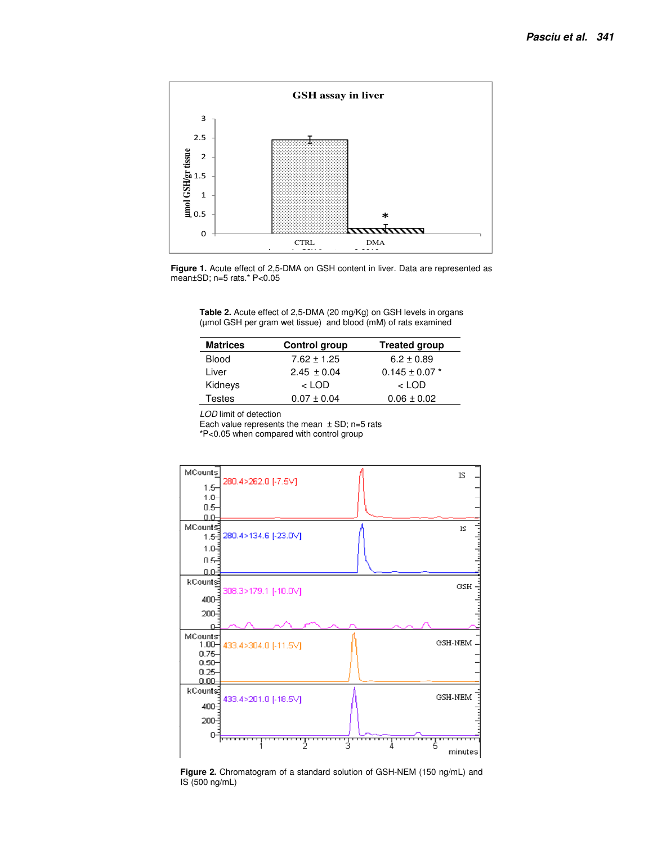

**Figure 1.** Acute effect of 2,5-DMA on GSH content in liver. Data are represented as mean±SD; n=5 rats.\* P<0.05

**Table 2.** Acute effect of 2,5-DMA (20 mg/Kg) on GSH levels in organs (µmol GSH per gram wet tissue) and blood (mM) of rats examined

| <b>Matrices</b> | Control group   | <b>Treated group</b> |
|-----------------|-----------------|----------------------|
| <b>Blood</b>    | $7.62 \pm 1.25$ | $6.2 \pm 0.89$       |
| Liver           | $2.45 \pm 0.04$ | $0.145 \pm 0.07$ *   |
| Kidneys         | $<$ LOD         | $<$ LOD              |
| Testes          | $0.07 \pm 0.04$ | $0.06 \pm 0.02$      |

LOD limit of detection

Each value represents the mean  $\pm$  SD; n=5 rats

\*P<0.05 when compared with control group



**Figure 2.** Chromatogram of a standard solution of GSH-NEM (150 ng/mL) and IS (500 ng/mL)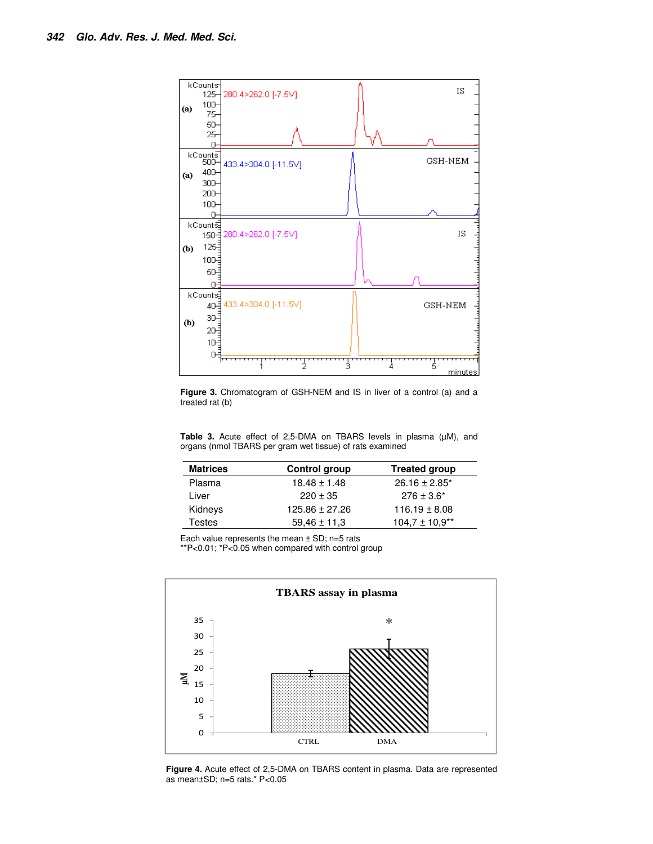

**Figure 3.** Chromatogram of GSH-NEM and IS in liver of a control (a) and a treated rat (b)

Table 3. Acute effect of 2,5-DMA on TBARS levels in plasma (µM), and organs (nmol TBARS per gram wet tissue) of rats examined

| <b>Matrices</b> | Control group      | <b>Treated group</b> |
|-----------------|--------------------|----------------------|
| Plasma          | $18.48 \pm 1.48$   | $26.16 \pm 2.85^*$   |
| Liver           | $220 \pm 35$       | $276 \pm 3.6^*$      |
| Kidneys         | $125.86 \pm 27.26$ | $116.19 \pm 8.08$    |
| Testes          | $59.46 \pm 11.3$   | $104.7 \pm 10.9**$   |

Each value represents the mean  $\pm$  SD; n=5 rats

\*\*P<0.01; \*P<0.05 when compared with control group



**Figure 4.** Acute effect of 2,5-DMA on TBARS content in plasma. Data are represented as mean±SD; n=5 rats.\* P<0.05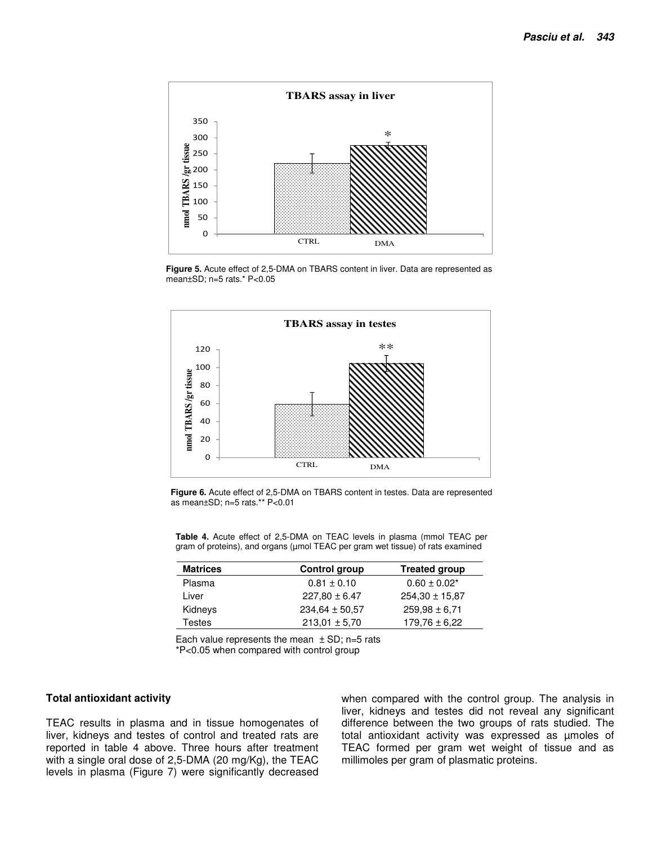

**Figure 5.** Acute effect of 2,5-DMA on TBARS content in liver. Data are represented as mean±SD; n=5 rats.\* P<0.05



**Figure 6.** Acute effect of 2,5-DMA on TBARS content in testes. Data are represented as mean±SD; n=5 rats.\*\* P<0.01

**Table 4.** Acute effect of 2,5-DMA on TEAC levels in plasma (mmol TEAC per gram of proteins), and organs (µmol TEAC per gram wet tissue) of rats examined

| <b>Matrices</b> | Control group      | <b>Treated group</b> |
|-----------------|--------------------|----------------------|
| Plasma          | $0.81 \pm 0.10$    | $0.60 \pm 0.02^*$    |
| Liver           | $227,80 \pm 6.47$  | $254.30 \pm 15.87$   |
| Kidneys         | $234.64 \pm 50.57$ | $259.98 \pm 6.71$    |
| <b>Testes</b>   | $213.01 \pm 5.70$  | $179.76 \pm 6.22$    |

Each value represents the mean  $\pm$  SD; n=5 rats

\*P<0.05 when compared with control group

#### **Total antioxidant activity**

TEAC results in plasma and in tissue homogenates of liver, kidneys and testes of control and treated rats are reported in table 4 above. Three hours after treatment with a single oral dose of 2,5-DMA (20 mg/Kg), the TEAC levels in plasma (Figure 7) were significantly decreased when compared with the control group. The analysis in liver, kidneys and testes did not reveal any significant difference between the two groups of rats studied. The total antioxidant activity was expressed as µmoles of TEAC formed per gram wet weight of tissue and as millimoles per gram of plasmatic proteins.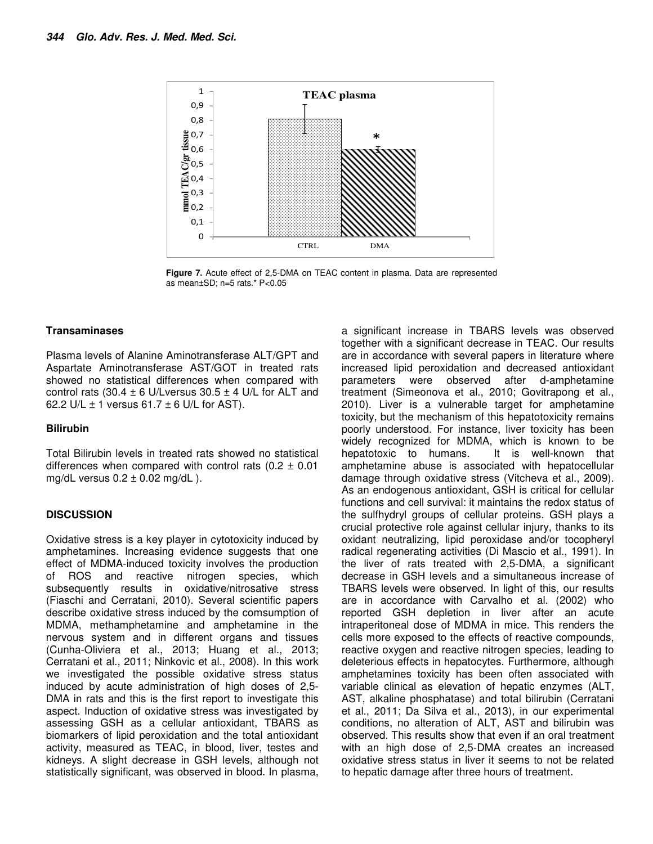

**Figure 7.** Acute effect of 2,5-DMA on TEAC content in plasma. Data are represented as mean±SD; n=5 rats.\* P<0.05

#### **Transaminases**

Plasma levels of Alanine Aminotransferase ALT/GPT and Aspartate Aminotransferase AST/GOT in treated rats showed no statistical differences when compared with control rats (30.4  $\pm$  6 U/Lversus 30.5  $\pm$  4 U/L for ALT and 62.2 U/L  $\pm$  1 versus 61.7  $\pm$  6 U/L for AST).

## **Bilirubin**

Total Bilirubin levels in treated rats showed no statistical differences when compared with control rats  $(0.2 \pm 0.01)$ mg/dL versus  $0.2 \pm 0.02$  mg/dL ).

## **DISCUSSION**

Oxidative stress is a key player in cytotoxicity induced by amphetamines. Increasing evidence suggests that one effect of MDMA-induced toxicity involves the production of ROS and reactive nitrogen species, which subsequently results in oxidative/nitrosative stress (Fiaschi and Cerratani, 2010). Several scientific papers describe oxidative stress induced by the comsumption of MDMA, methamphetamine and amphetamine in the nervous system and in different organs and tissues (Cunha-Oliviera et al., 2013; Huang et al., 2013; Cerratani et al., 2011; Ninkovic et al., 2008). In this work we investigated the possible oxidative stress status induced by acute administration of high doses of 2,5- DMA in rats and this is the first report to investigate this aspect. Induction of oxidative stress was investigated by assessing GSH as a cellular antioxidant, TBARS as biomarkers of lipid peroxidation and the total antioxidant activity, measured as TEAC, in blood, liver, testes and kidneys. A slight decrease in GSH levels, although not statistically significant, was observed in blood. In plasma,

a significant increase in TBARS levels was observed together with a significant decrease in TEAC. Our results are in accordance with several papers in literature where increased lipid peroxidation and decreased antioxidant parameters were observed after d-amphetamine treatment (Simeonova et al., 2010; Govitrapong et al., 2010). Liver is a vulnerable target for amphetamine toxicity, but the mechanism of this hepatotoxicity remains poorly understood. For instance, liver toxicity has been widely recognized for MDMA, which is known to be hepatotoxic to humans. It is well-known that amphetamine abuse is associated with hepatocellular damage through oxidative stress (Vitcheva et al., 2009). As an endogenous antioxidant, GSH is critical for cellular functions and cell survival: it maintains the redox status of the sulfhydryl groups of cellular proteins. GSH plays a crucial protective role against cellular injury, thanks to its oxidant neutralizing, lipid peroxidase and/or tocopheryl radical regenerating activities (Di Mascio et al., 1991). In the liver of rats treated with 2,5-DMA, a significant decrease in GSH levels and a simultaneous increase of TBARS levels were observed. In light of this, our results are in accordance with Carvalho et al. (2002) who reported GSH depletion in liver after an acute intraperitoneal dose of MDMA in mice. This renders the cells more exposed to the effects of reactive compounds, reactive oxygen and reactive nitrogen species, leading to deleterious effects in hepatocytes. Furthermore, although amphetamines toxicity has been often associated with variable clinical as elevation of hepatic enzymes (ALT, AST, alkaline phosphatase) and total bilirubin (Cerratani et al., 2011; Da Silva et al., 2013), in our experimental conditions, no alteration of ALT, AST and bilirubin was observed. This results show that even if an oral treatment with an high dose of 2,5-DMA creates an increased oxidative stress status in liver it seems to not be related to hepatic damage after three hours of treatment.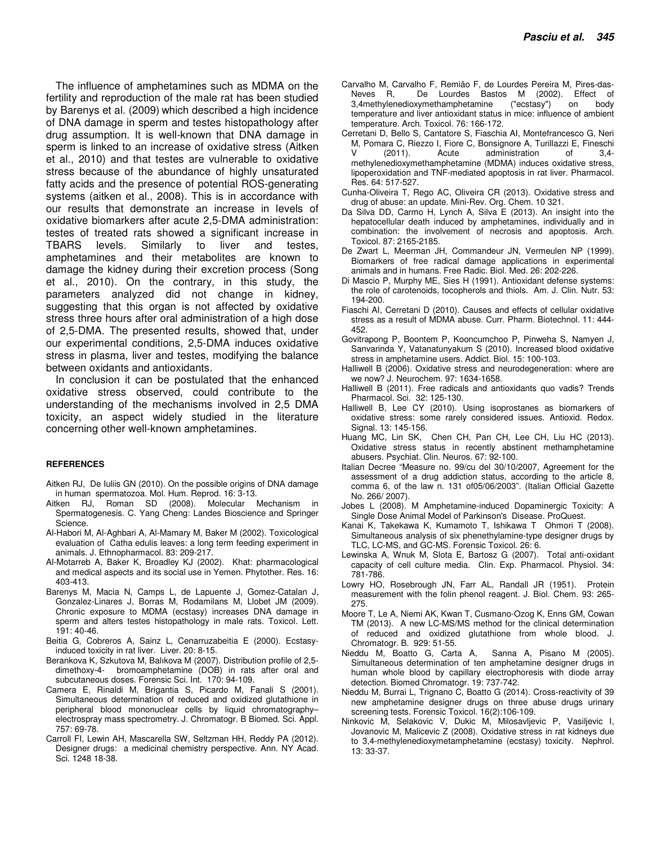The influence of amphetamines such as MDMA on the fertility and reproduction of the male rat has been studied by Barenys et al. (2009) which described a high incidence of DNA damage in sperm and testes histopathology after drug assumption. It is well-known that DNA damage in sperm is linked to an increase of oxidative stress (Aitken et al., 2010) and that testes are vulnerable to oxidative stress because of the abundance of highly unsaturated fatty acids and the presence of potential ROS-generating systems (aitken et al., 2008). This is in accordance with our results that demonstrate an increase in levels of oxidative biomarkers after acute 2,5-DMA administration: testes of treated rats showed a significant increase in TBARS levels. Similarly to liver and testes, amphetamines and their metabolites are known to damage the kidney during their excretion process (Song et al., 2010). On the contrary, in this study, the parameters analyzed did not change in kidney, suggesting that this organ is not affected by oxidative stress three hours after oral administration of a high dose of 2,5-DMA. The presented results, showed that, under our experimental conditions, 2,5-DMA induces oxidative stress in plasma, liver and testes, modifying the balance between oxidants and antioxidants.

In conclusion it can be postulated that the enhanced oxidative stress observed, could contribute to the understanding of the mechanisms involved in 2,5 DMA toxicity, an aspect widely studied in the literature concerning other well-known amphetamines.

#### **REFERENCES**

- Aitken RJ, De Iuliis GN (2010). On the possible origins of DNA damage in human spermatozoa. Mol. Hum. Reprod. 16: 3-13.
- Aitken RJ, Roman SD (2008). Molecular Mechanism in Spermatogenesis. C. Yang Cheng: Landes Bioscience and Springer Science.
- Al-Habori M, Al-Aghbari A, Al-Mamary M, Baker M (2002). Toxicological evaluation of Catha edulis leaves: a long term feeding experiment in animals. J. Ethnopharmacol. 83: 209-217.
- Al-Motarreb A, Baker K, Broadley KJ (2002). Khat: pharmacological and medical aspects and its social use in Yemen. Phytother. Res. 16: 403-413.
- Barenys M, Macia N, Camps L, de Lapuente J, Gomez-Catalan J, Gonzalez-Linares J, Borras M, Rodamilans M, Llobet JM (2009). Chronic exposure to MDMA (ecstasy) increases DNA damage in sperm and alters testes histopathology in male rats. Toxicol. Lett.  $191 \cdot 40 - 46$
- Beitia G, Cobreros A, Sainz L, Cenarruzabeitia E (2000). Ecstasyinduced toxicity in rat liver. Liver. 20: 8-15.
- Berankova K, Szkutova M, Balıkova M (2007). Distribution profile of 2,5 dimethoxy-4- bromoamphetamine (DOB) in rats after oral and subcutaneous doses. Forensic Sci. Int. 170: 94-109.
- Camera E, Rinaldi M, Brigantia S, Picardo M, Fanali S (2001). Simultaneous determination of reduced and oxidized glutathione in peripheral blood mononuclear cells by liquid chromatography– electrospray mass spectrometry. J. Chromatogr. B Biomed. Sci. Appl. 757: 69-78.
- Carroll FI, Lewin AH, Mascarella SW, Seltzman HH, Reddy PA (2012). Designer drugs: a medicinal chemistry perspective. Ann. NY Acad. Sci. 1248 18-38.
- Carvalho M, Carvalho F, Remião F, de Lourdes Pereira M, Pires-das-Neves R, De Lourdes Bastos M (2002). Effect of 3,4methylenedioxymethamphetamine ("ecstasy") on body 3,4methylenedioxymethamphetamine temperature and liver antioxidant status in mice: influence of ambient temperature. Arch. Toxicol. 76: 166-172.
- Cerretani D, Bello S, Cantatore S, Fiaschia AI, Montefrancesco G, Neri M, Pomara C, Riezzo I, Fiore C, Bonsignore A, Turillazzi E, Fineschi<br>V (2011). Acute administration of 3,4-Acute administration of 3,4methylenedioxymethamphetamine (MDMA) induces oxidative stress, lipoperoxidation and TNF-mediated apoptosis in rat liver. Pharmacol. Res. 64: 517-527.
- Cunha-Oliveira T, Rego AC, Oliveira CR (2013). Oxidative stress and drug of abuse: an update. Mini-Rev. Org. Chem. 10 321.
- Da Silva DD, Carmo H, Lynch A, Silva E (2013). An insight into the hepatocellular death induced by amphetamines, individually and in combination: the involvement of necrosis and apoptosis. Arch. Toxicol. 87: 2165-2185.
- De Zwart L, Meerman JH, Commandeur JN, Vermeulen NP (1999). Biomarkers of free radical damage applications in experimental animals and in humans. Free Radic. Biol. Med. 26: 202-226.
- Di Mascio P, Murphy ME, Sies H (1991). Antioxidant defense systems: the role of carotenoids, tocopherols and thiols. Am. J. Clin. Nutr. 53: 194-200.
- Fiaschi AI, Cerretani D (2010). Causes and effects of cellular oxidative stress as a result of MDMA abuse. Curr. Pharm. Biotechnol. 11: 444- 452.
- Govitrapong P, Boontem P, Kooncumchoo P, Pinweha S, Namyen J, Sanvarinda Y, Vatanatunyakum S (2010). Increased blood oxidative stress in amphetamine users. Addict. Biol. 15: 100-103.
- Halliwell B (2006). Oxidative stress and neurodegeneration: where are we now? J. Neurochem. 97: 1634-1658.
- Halliwell B (2011). Free radicals and antioxidants quo vadis? Trends Pharmacol. Sci. 32: 125-130.
- Halliwell B, Lee CY (2010). Using isoprostanes as biomarkers of oxidative stress: some rarely considered issues. Antioxid. Redox. Signal. 13: 145-156.
- Huang MC, Lin SK, Chen CH, Pan CH, Lee CH, Liu HC (2013). Oxidative stress status in recently abstinent methamphetamine abusers. Psychiat. Clin. Neuros. 67: 92-100.
- Italian Decree "Measure no. 99/cu del 30/10/2007, Agreement for the assessment of a drug addiction status, according to the article 8, comma 6, of the law n. 131 of05/06/2003". (Italian Official Gazette No. 266/ 2007).
- Jobes L (2008). M Amphetamine-induced Dopaminergic Toxicity: A Single Dose Animal Model of Parkinson's Disease. ProQuest.
- Kanai K, Takekawa K, Kumamoto T, Ishikawa T Ohmori T (2008). Simultaneous analysis of six phenethylamine-type designer drugs by TLC, LC-MS, and GC-MS. Forensic Toxicol. 26: 6.
- Lewinska A, Wnuk M, Slota E, Bartosz G (2007). Total anti-oxidant capacity of cell culture media. Clin. Exp. Pharmacol. Physiol. 34: 781-786.
- Lowry HO, Rosebrough JN, Farr AL, Randall JR (1951). Protein measurement with the folin phenol reagent. J. Biol. Chem. 93: 265- 275.
- Moore T, Le A, Niemi AK, Kwan T, Cusmano-Ozog K, Enns GM, Cowan TM (2013). A new LC-MS/MS method for the clinical determination of reduced and oxidized glutathione from whole blood. J. Chromatogr. B. 929: 51-55.
- Nieddu M, Boatto G, Carta A, Sanna A, Pisano M (2005). Simultaneous determination of ten amphetamine designer drugs in human whole blood by capillary electrophoresis with diode array detection. Biomed Chromatogr. 19: 737-742.
- Nieddu M, Burrai L, Trignano C, Boatto G (2014). Cross-reactivity of 39 new amphetamine designer drugs on three abuse drugs urinary screening tests. Forensic Toxicol. 16(2):106-109.
- Ninkovic M, Selakovic V, Dukic M, Milosavljevic P, Vasiljevic I, Jovanovic M, Malicevic Z (2008). Oxidative stress in rat kidneys due to 3,4-methylenedioxymetamphetamine (ecstasy) toxicity. Nephrol. 13: 33-37.